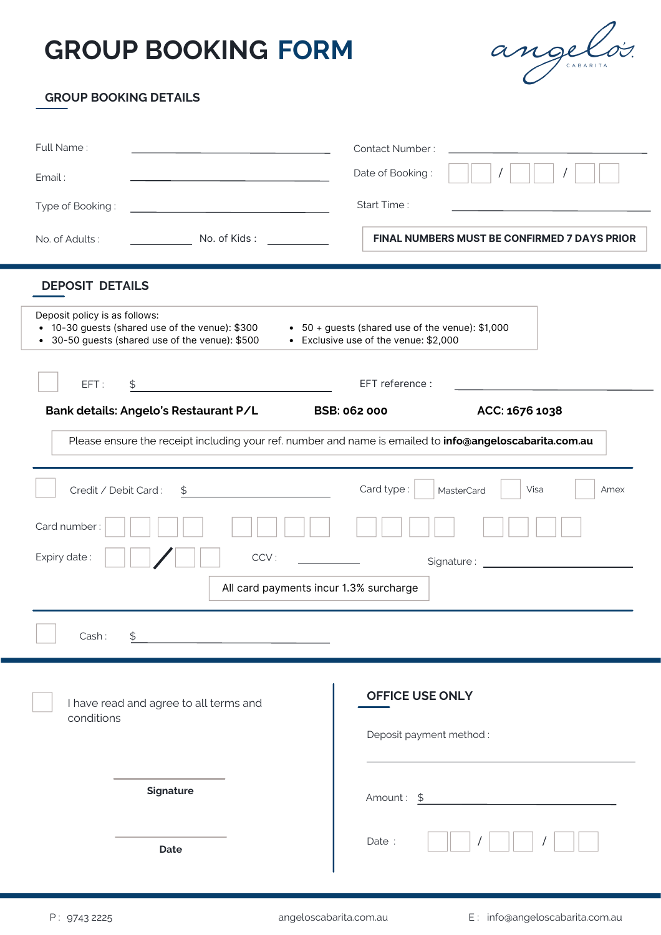# **GROUP BOOKING FORM**



#### **GROUP BOOKING DETAILS**

| Full Name:                                                                                                                                                                                                                       |                                                       | <b>Contact Number:</b>                       |
|----------------------------------------------------------------------------------------------------------------------------------------------------------------------------------------------------------------------------------|-------------------------------------------------------|----------------------------------------------|
| Email:                                                                                                                                                                                                                           |                                                       | Date of Booking:                             |
| Type of Booking:                                                                                                                                                                                                                 | <u> 1989 - Johann Barn, fransk politik fotograf (</u> | Start Time:                                  |
| No. of Adults:                                                                                                                                                                                                                   | No. of Kids :                                         | FINAL NUMBERS MUST BE CONFIRMED 7 DAYS PRIOR |
| <b>DEPOSIT DETAILS</b>                                                                                                                                                                                                           |                                                       |                                              |
| Deposit policy is as follows:<br>• 10-30 guests (shared use of the venue): \$300<br>• 50 + guests (shared use of the venue): \$1,000<br>• 30-50 guests (shared use of the venue): \$500<br>• Exclusive use of the venue: \$2,000 |                                                       |                                              |
| EFT reference :<br>EFT:<br>\$<br><u> 1999 - Andrea Station Books, amerikansk politik (d. 1989)</u>                                                                                                                               |                                                       |                                              |
| Bank details: Angelo's Restaurant P/L<br><b>BSB: 062 000</b><br>ACC: 1676 1038                                                                                                                                                   |                                                       |                                              |
| Please ensure the receipt including your ref. number and name is emailed to info@angeloscabarita.com.au                                                                                                                          |                                                       |                                              |
| Card type:<br>Credit / Debit Card:<br>Visa<br>\$<br>MasterCard<br>Amex                                                                                                                                                           |                                                       |                                              |
| Card number:                                                                                                                                                                                                                     |                                                       |                                              |
| Expiry date:<br>CCV:                                                                                                                                                                                                             |                                                       |                                              |
| All card payments incur 1.3% surcharge                                                                                                                                                                                           |                                                       |                                              |
| Cash:                                                                                                                                                                                                                            |                                                       |                                              |
|                                                                                                                                                                                                                                  |                                                       |                                              |
| I have read and agree to all terms and                                                                                                                                                                                           |                                                       | <b>OFFICE USE ONLY</b>                       |
| conditions                                                                                                                                                                                                                       |                                                       | Deposit payment method:                      |
|                                                                                                                                                                                                                                  |                                                       |                                              |
| Signature                                                                                                                                                                                                                        |                                                       |                                              |
|                                                                                                                                                                                                                                  |                                                       | Amount: \$                                   |
|                                                                                                                                                                                                                                  | Date                                                  | Date:                                        |
|                                                                                                                                                                                                                                  |                                                       |                                              |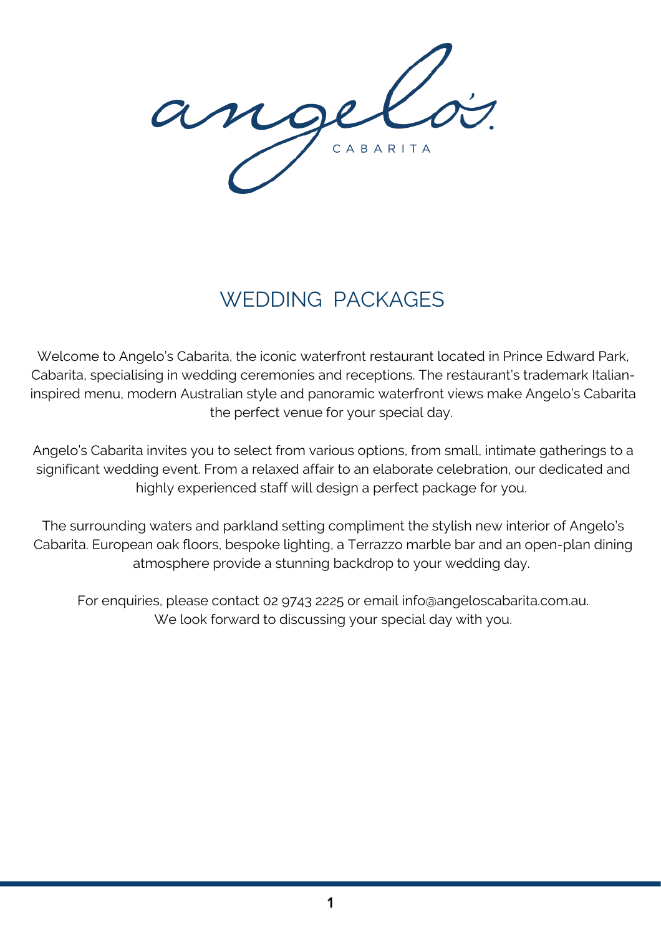ange CABARITA

## WEDDING PACKAGES

Welcome to Angelo's Cabarita, the iconic waterfront restaurant located in Prince Edward Park, Cabarita, specialising in wedding ceremonies and receptions. The restaurant's trademark Italianinspired menu, modern Australian style and panoramic waterfront views make Angelo's Cabarita the perfect venue for your special day.

Angelo's Cabarita invites you to select from various options, from small, intimate gatherings to a significant wedding event. From a relaxed affair to an elaborate celebration, our dedicated and highly experienced staff will design a perfect package for you.

The surrounding waters and parkland setting compliment the stylish new interior of Angelo's Cabarita. European oak floors, bespoke lighting, a Terrazzo marble bar and an open-plan dining atmosphere provide a stunning backdrop to your wedding day.

For enquiries, please contact 02 9743 2225 or email [info@angeloscabarita.com.au](mailto:info@angeloscabarita.com.au). We look forward to discussing your special day with you.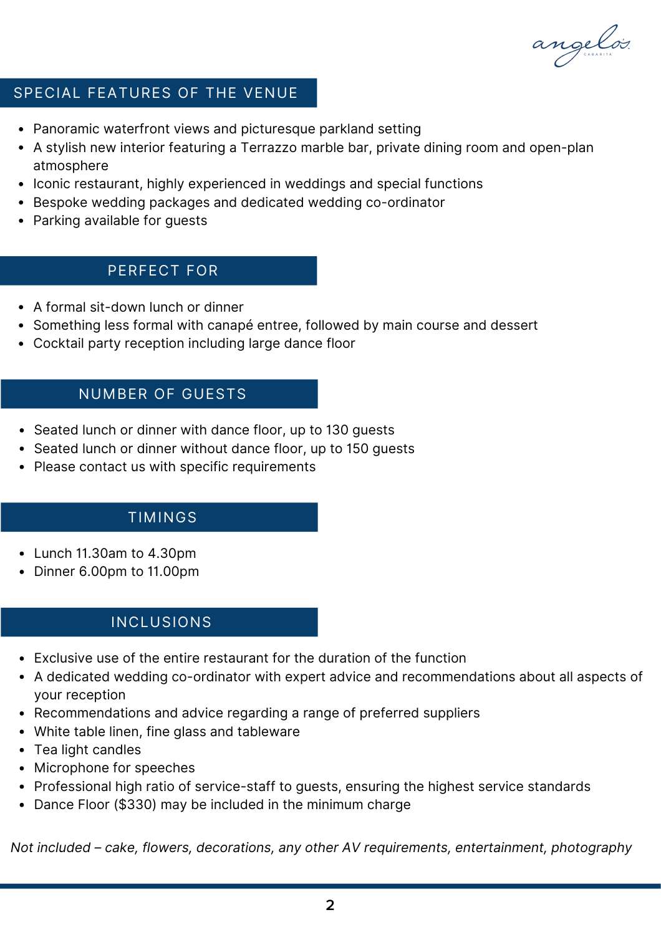angelos.

#### SPECIAL FEATURES OF THE VENUE

- Panoramic waterfront views and picturesque parkland setting
- A stylish new interior featuring a Terrazzo marble bar, private dining room and open-plan atmosphere
- Iconic restaurant, highly experienced in weddings and special functions
- Bespoke wedding packages and dedicated wedding co-ordinator
- Parking available for guests

## PERFECT FOR

- A formal sit-down lunch or dinner
- Something less formal with canapé entree, followed by main course and dessert
- Cocktail party reception including large dance floor

#### NUMBER OF GUESTS

- Seated lunch or dinner with dance floor, up to 130 quests
- Seated lunch or dinner without dance floor, up to 150 guests
- Please contact us with specific requirements

## TIMINGS

- Lunch 11.30am to 4.30pm
- Dinner 6.00pm to 11.00pm

## INCLUSIONS

- Exclusive use of the entire restaurant for the duration of the function
- A dedicated wedding co-ordinator with expert advice and recommendations about all aspects of your reception
- Recommendations and advice regarding a range of preferred suppliers
- White table linen, fine glass and tableware
- Tea light candles
- Microphone for speeches
- Professional high ratio of service-staff to guests, ensuring the highest service standards
- Dance Floor (\$330) may be included in the minimum charge

*Not included – cake, flowers, decorations, any other AV requirements, entertainment, photography*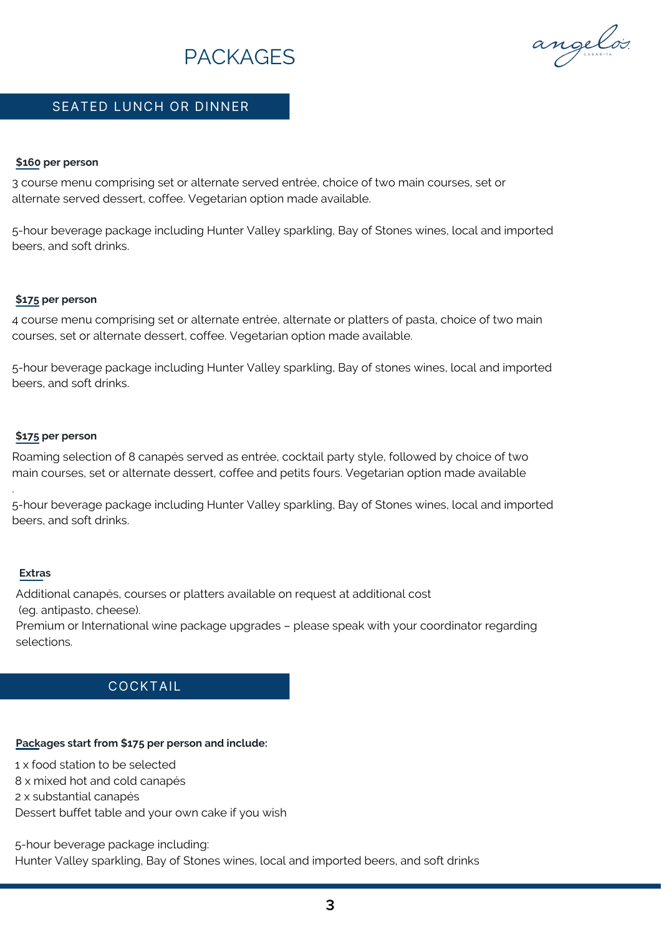## PACKAGES

angelos.

#### SEATED LUNCH OR DINNER

#### **\$160 per person**

3 course menu comprising set or alternate served entrée, choice of two main courses, set or alternate served dessert, coffee. Vegetarian option made available.

5-hour beverage package including Hunter Valley sparkling, Bay of Stones wines, local and imported beers, and soft drinks.

#### **\$175 per person**

4 course menu comprising set or alternate entrée, alternate or platters of pasta, choice of two main courses, set or alternate dessert, coffee. Vegetarian option made available.

5-hour beverage package including Hunter Valley sparkling, Bay of stones wines, local and imported beers, and soft drinks.

#### **\$175 per person**

Roaming selection of 8 canapés served as entrée, cocktail party style, followed by choice of two main courses, set or alternate dessert, coffee and petits fours. Vegetarian option made available

5-hour beverage package including Hunter Valley sparkling, Bay of Stones wines, local and imported beers, and soft drinks.

#### **Extras**

.

Additional canapés, courses or platters available on request at additional cost (eg. antipasto, cheese).

Premium or International wine package upgrades – please speak with your coordinator regarding selections.

#### COCKTAIL

#### **Packages start from \$175 per person and include:**

1 x food station to be selected

8 x mixed hot and cold canapés

2 x substantial canapés

Dessert buffet table and your own cake if you wish

5-hour beverage package including:

Hunter Valley sparkling, Bay of Stones wines, local and imported beers, and soft drinks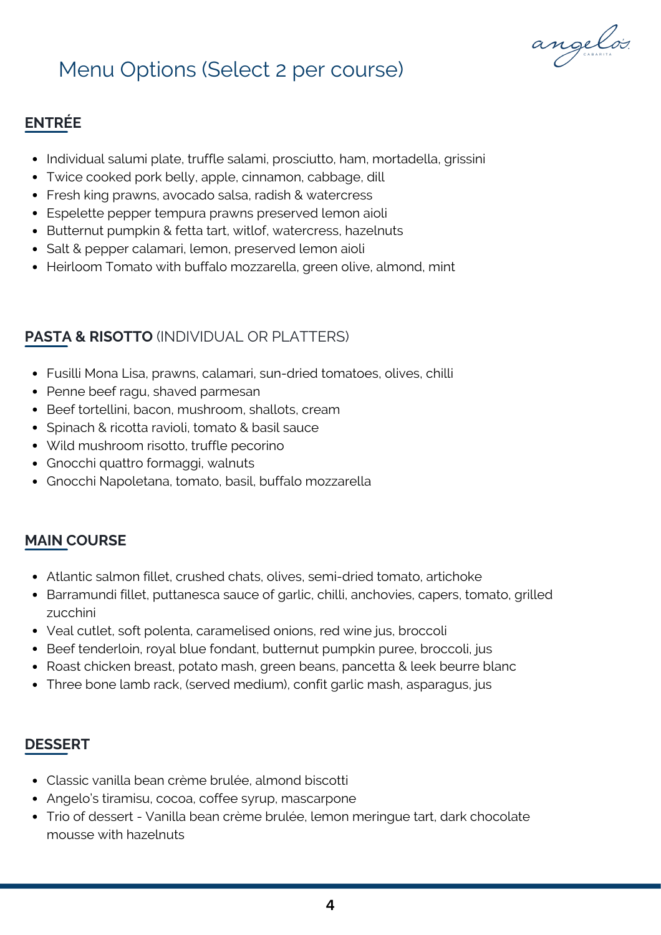angelos.

## Menu Options (Select 2 per course)

## **ENTRÉE**

- Individual salumi plate, truffle salami, prosciutto, ham, mortadella, grissini
- Twice cooked pork belly, apple, cinnamon, cabbage, dill
- Fresh king prawns, avocado salsa, radish & watercress
- Espelette pepper tempura prawns preserved lemon aioli
- Butternut pumpkin & fetta tart, witlof, watercress, hazelnuts
- Salt & pepper calamari, lemon, preserved lemon aioli
- Heirloom Tomato with buffalo mozzarella, green olive, almond, mint

## **PASTA & RISOTTO** (INDIVIDUAL OR PLATTERS)

- Fusilli Mona Lisa, prawns, calamari, sun-dried tomatoes, olives, chilli
- Penne beef ragu, shaved parmesan
- Beef tortellini, bacon, mushroom, shallots, cream
- Spinach & ricotta ravioli, tomato & basil sauce
- Wild mushroom risotto, truffle pecorino
- Gnocchi quattro formaggi, walnuts
- Gnocchi Napoletana, tomato, basil, buffalo mozzarella

## **MAIN COURSE**

- Atlantic salmon fillet, crushed chats, olives, semi-dried tomato, artichoke
- Barramundi fillet, puttanesca sauce of garlic, chilli, anchovies, capers, tomato, grilled zucchini
- Veal cutlet, soft polenta, caramelised onions, red wine jus, broccoli
- Beef tenderloin, royal blue fondant, butternut pumpkin puree, broccoli, jus
- Roast chicken breast, potato mash, green beans, pancetta & leek beurre blanc
- Three bone lamb rack, (served medium), confit garlic mash, asparagus, jus

## **DESSERT**

- Classic vanilla bean crème brulée, almond biscotti
- Angelo's tiramisu, cocoa, coffee syrup, mascarpone
- Trio of dessert Vanilla bean crème brulée, lemon meringue tart, dark chocolate mousse with hazelnuts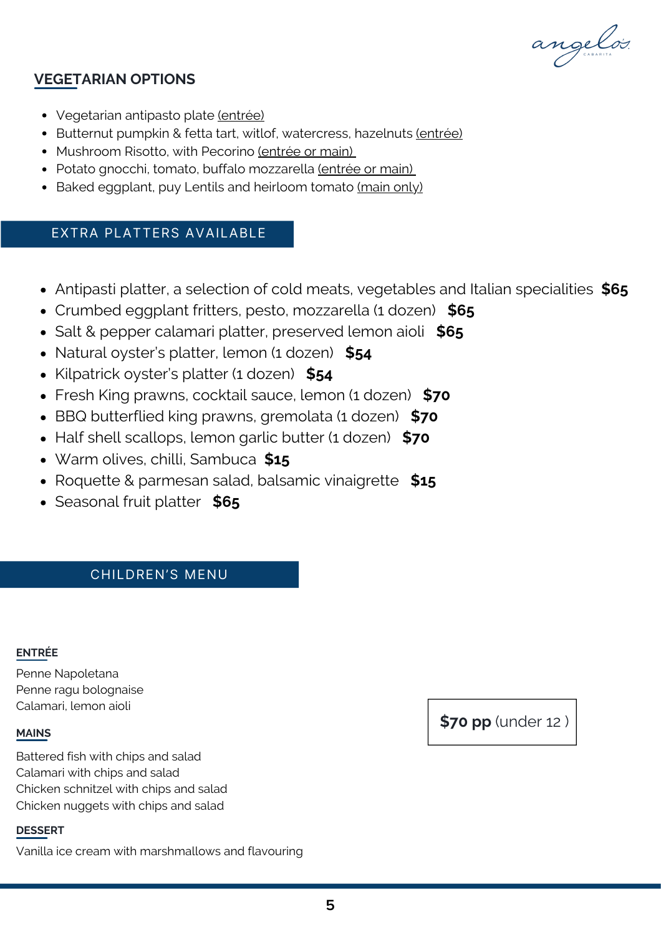angelos.

## **VEGETARIAN OPTIONS**

- Vegetarian antipasto plate (entrée)
- Butternut pumpkin & fetta tart, witlof, watercress, hazelnuts (entrée)
- Mushroom Risotto, with Pecorino (entrée or main)
- Potato gnocchi, tomato, buffalo mozzarella (entrée or main)
- Baked eggplant, puy Lentils and heirloom tomato (main only)

## EXTRA PLATTERS AVAILABLE

- Antipasti platter, a selection of cold meats, vegetables and Italian specialities **\$65**
- Crumbed eggplant fritters, pesto, mozzarella (1 dozen) **\$65**
- Salt & pepper calamari platter, preserved lemon aioli **\$65**
- Natural oyster's platter, lemon (1 dozen) **\$54**
- Kilpatrick oyster's platter (1 dozen) **\$54**
- Fresh King prawns, cocktail sauce, lemon (1 dozen) **\$70**
- BBQ butterflied king prawns, gremolata (1 dozen) **\$70**
- Half shell scallops, lemon garlic butter (1 dozen) **\$70**
- Warm olives, chilli, Sambuca **\$15**
- Roquette & parmesan salad, balsamic vinaigrette **\$15**
- Seasonal fruit platter **\$65**

## CHILDREN'S MENU

#### **ENTRÉE**

Penne Napoletana Penne ragu bolognaise Calamari, lemon aioli

#### **MAINS**

Battered fish with chips and salad Calamari with chips and salad Chicken schnitzel with chips and salad Chicken nuggets with chips and salad

#### **DESSERT**

Vanilla ice cream with marshmallows and flavouring

**\$70 pp** (under 12 )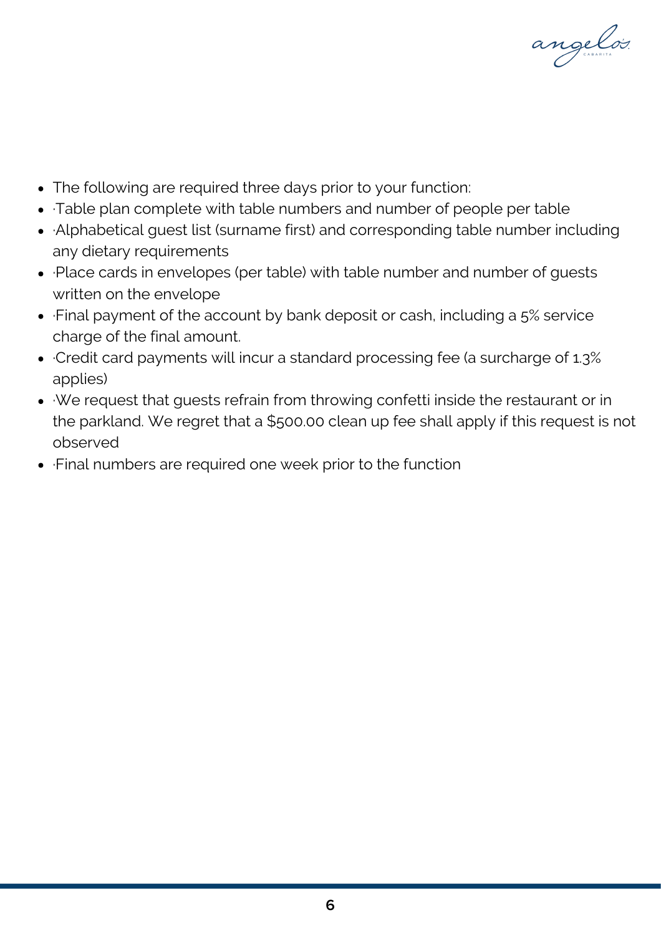angelos.

- The following are required three days prior to your function:
- ·Table plan complete with table numbers and number of people per table
- ·Alphabetical guest list (surname first) and corresponding table number including any dietary requirements
- ·Place cards in envelopes (per table) with table number and number of guests written on the envelope
- ·Final payment of the account by bank deposit or cash, including a 5% service charge of the final amount.
- ·Credit card payments will incur a standard processing fee (a surcharge of 1.3% applies)
- ·We request that guests refrain from throwing confetti inside the restaurant or in the parkland. We regret that a \$500.00 clean up fee shall apply if this request is not observed
- ·Final numbers are required one week prior to the function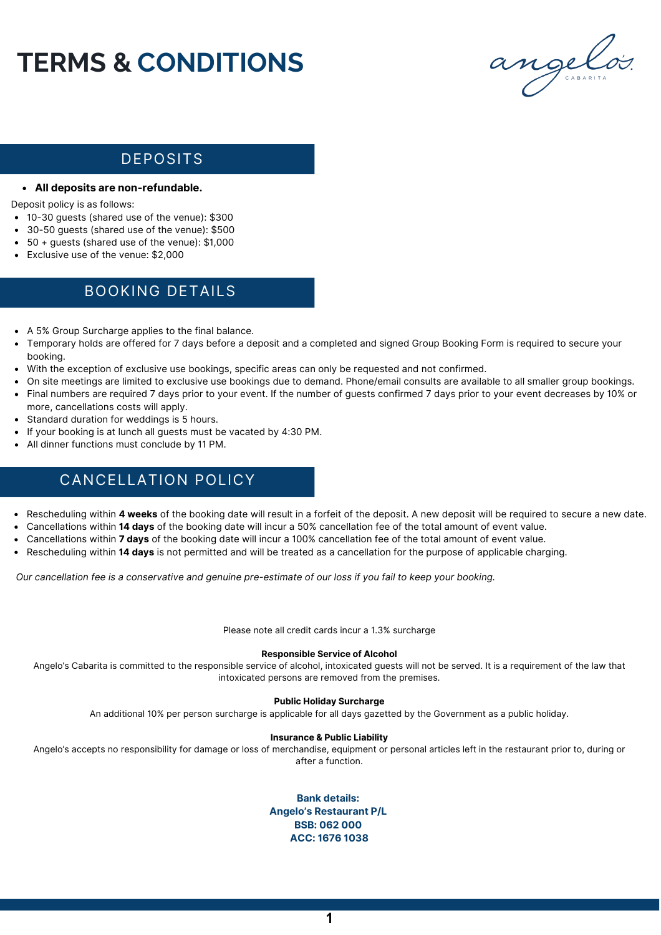# **TERMS & CONDITIONS**



## DEPOSITS

#### **All deposits are non-refundable.**

Deposit policy is as follows:

- 10-30 guests (shared use of the venue): \$300
- 30-50 guests (shared use of the venue): \$500
- 50 + guests (shared use of the venue): \$1,000
- Exclusive use of the venue: \$2,000

## BOOKING DETAILS

- A 5% Group Surcharge applies to the final balance.
- Temporary holds are offered for 7 days before a deposit and a completed and signed Group Booking Form is required to secure your booking.
- With the exception of exclusive use bookings, specific areas can only be requested and not confirmed.
- On site meetings are limited to exclusive use bookings due to demand. Phone/email consults are available to all smaller group bookings.
- Final numbers are required 7 days prior to your event. If the number of guests confirmed 7 days prior to your event decreases by 10% or more, cancellations costs will apply.
- Standard duration for weddings is 5 hours.
- If your booking is at lunch all guests must be vacated by 4:30 PM.
- All dinner functions must conclude by 11 PM.

## CANCELLATION POLICY

- Rescheduling within **4 weeks** of the booking date will result in a forfeit of the deposit. A new deposit will be required to secure a new date.
- Cancellations within **14 days** of the booking date will incur a 50% cancellation fee of the total amount of event value.
- Cancellations within **7 days** of the booking date will incur a 100% cancellation fee of the total amount of event value.
- Rescheduling within **14 days** is not permitted and will be treated as a cancellation for the purpose of applicable charging.

Our cancellation fee is a conservative and genuine pre-estimate of our loss if you fail to keep your booking.

Please note all credit cards incur a 1.3% surcharge

#### **Responsible Service of Alcohol**

Angelo's Cabarita is committed to the responsible service of alcohol, intoxicated guests will not be served. It is a requirement of the law that intoxicated persons are removed from the premises.

#### **Public Holiday Surcharge**

An additional 10% per person surcharge is applicable for all days gazetted by the Government as a public holiday.

#### **Insurance & Public Liability**

Angelo's accepts no responsibility for damage or loss of merchandise, equipment or personal articles left in the restaurant prior to, during or after a function.

> **Bank details: Angelo's Restaurant P/L BSB: 062 000 ACC: 1676 1038**